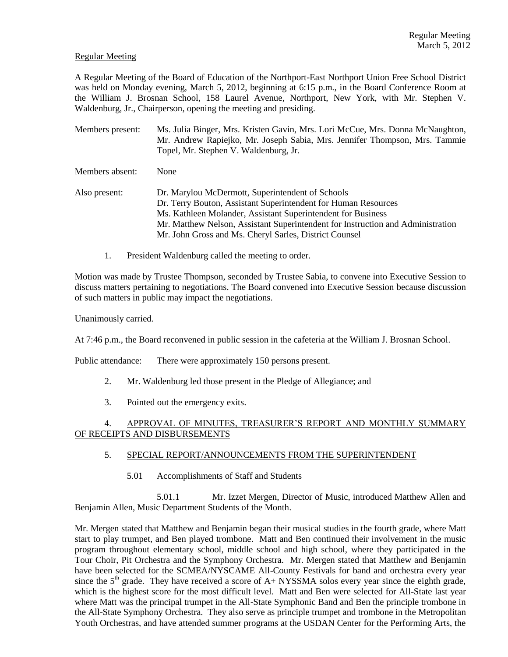## Regular Meeting

A Regular Meeting of the Board of Education of the Northport-East Northport Union Free School District was held on Monday evening, March 5, 2012, beginning at 6:15 p.m., in the Board Conference Room at the William J. Brosnan School, 158 Laurel Avenue, Northport, New York, with Mr. Stephen V. Waldenburg, Jr., Chairperson, opening the meeting and presiding.

- Members present: Ms. Julia Binger, Mrs. Kristen Gavin, Mrs. Lori McCue, Mrs. Donna McNaughton, Mr. Andrew Rapiejko, Mr. Joseph Sabia, Mrs. Jennifer Thompson, Mrs. Tammie Topel, Mr. Stephen V. Waldenburg, Jr.
- Members absent: None
- Also present: Dr. Marylou McDermott, Superintendent of Schools Dr. Terry Bouton, Assistant Superintendent for Human Resources Ms. Kathleen Molander, Assistant Superintendent for Business Mr. Matthew Nelson, Assistant Superintendent for Instruction and Administration Mr. John Gross and Ms. Cheryl Sarles, District Counsel
	- 1. President Waldenburg called the meeting to order.

Motion was made by Trustee Thompson, seconded by Trustee Sabia, to convene into Executive Session to discuss matters pertaining to negotiations. The Board convened into Executive Session because discussion of such matters in public may impact the negotiations.

Unanimously carried.

At 7:46 p.m., the Board reconvened in public session in the cafeteria at the William J. Brosnan School.

Public attendance: There were approximately 150 persons present.

- 2. Mr. Waldenburg led those present in the Pledge of Allegiance; and
- 3. Pointed out the emergency exits.

# 4. APPROVAL OF MINUTES, TREASURER'S REPORT AND MONTHLY SUMMARY OF RECEIPTS AND DISBURSEMENTS

## 5. SPECIAL REPORT/ANNOUNCEMENTS FROM THE SUPERINTENDENT

5.01 Accomplishments of Staff and Students

5.01.1 Mr. Izzet Mergen, Director of Music, introduced Matthew Allen and Benjamin Allen, Music Department Students of the Month.

Mr. Mergen stated that Matthew and Benjamin began their musical studies in the fourth grade, where Matt start to play trumpet, and Ben played trombone. Matt and Ben continued their involvement in the music program throughout elementary school, middle school and high school, where they participated in the Tour Choir, Pit Orchestra and the Symphony Orchestra. Mr. Mergen stated that Matthew and Benjamin have been selected for the SCMEA/NYSCAME All-County Festivals for band and orchestra every year since the  $5<sup>th</sup>$  grade. They have received a score of A+ NYSSMA solos every year since the eighth grade, which is the highest score for the most difficult level. Matt and Ben were selected for All-State last year where Matt was the principal trumpet in the All-State Symphonic Band and Ben the principle trombone in the All-State Symphony Orchestra. They also serve as principle trumpet and trombone in the Metropolitan Youth Orchestras, and have attended summer programs at the USDAN Center for the Performing Arts, the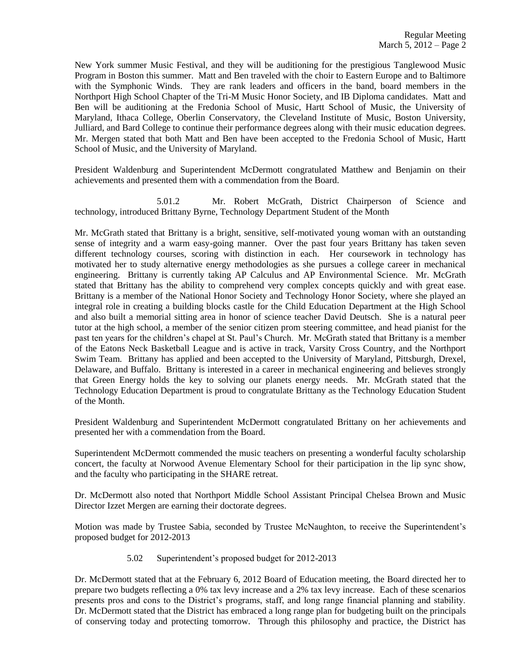New York summer Music Festival, and they will be auditioning for the prestigious Tanglewood Music Program in Boston this summer. Matt and Ben traveled with the choir to Eastern Europe and to Baltimore with the Symphonic Winds. They are rank leaders and officers in the band, board members in the Northport High School Chapter of the Tri-M Music Honor Society, and IB Diploma candidates. Matt and Ben will be auditioning at the Fredonia School of Music, Hartt School of Music, the University of Maryland, Ithaca College, Oberlin Conservatory, the Cleveland Institute of Music, Boston University, Julliard, and Bard College to continue their performance degrees along with their music education degrees. Mr. Mergen stated that both Matt and Ben have been accepted to the Fredonia School of Music, Hartt School of Music, and the University of Maryland.

President Waldenburg and Superintendent McDermott congratulated Matthew and Benjamin on their achievements and presented them with a commendation from the Board.

5.01.2 Mr. Robert McGrath, District Chairperson of Science and technology, introduced Brittany Byrne, Technology Department Student of the Month

Mr. McGrath stated that Brittany is a bright, sensitive, self-motivated young woman with an outstanding sense of integrity and a warm easy-going manner. Over the past four years Brittany has taken seven different technology courses, scoring with distinction in each. Her coursework in technology has motivated her to study alternative energy methodologies as she pursues a college career in mechanical engineering. Brittany is currently taking AP Calculus and AP Environmental Science. Mr. McGrath stated that Brittany has the ability to comprehend very complex concepts quickly and with great ease. Brittany is a member of the National Honor Society and Technology Honor Society, where she played an integral role in creating a building blocks castle for the Child Education Department at the High School and also built a memorial sitting area in honor of science teacher David Deutsch. She is a natural peer tutor at the high school, a member of the senior citizen prom steering committee, and head pianist for the past ten years for the children's chapel at St. Paul's Church. Mr. McGrath stated that Brittany is a member of the Eatons Neck Basketball League and is active in track, Varsity Cross Country, and the Northport Swim Team. Brittany has applied and been accepted to the University of Maryland, Pittsburgh, Drexel, Delaware, and Buffalo. Brittany is interested in a career in mechanical engineering and believes strongly that Green Energy holds the key to solving our planets energy needs. Mr. McGrath stated that the Technology Education Department is proud to congratulate Brittany as the Technology Education Student of the Month.

President Waldenburg and Superintendent McDermott congratulated Brittany on her achievements and presented her with a commendation from the Board.

Superintendent McDermott commended the music teachers on presenting a wonderful faculty scholarship concert, the faculty at Norwood Avenue Elementary School for their participation in the lip sync show, and the faculty who participating in the SHARE retreat.

Dr. McDermott also noted that Northport Middle School Assistant Principal Chelsea Brown and Music Director Izzet Mergen are earning their doctorate degrees.

Motion was made by Trustee Sabia, seconded by Trustee McNaughton, to receive the Superintendent's proposed budget for 2012-2013

5.02 Superintendent's proposed budget for 2012-2013

Dr. McDermott stated that at the February 6, 2012 Board of Education meeting, the Board directed her to prepare two budgets reflecting a 0% tax levy increase and a 2% tax levy increase. Each of these scenarios presents pros and cons to the District's programs, staff, and long range financial planning and stability. Dr. McDermott stated that the District has embraced a long range plan for budgeting built on the principals of conserving today and protecting tomorrow. Through this philosophy and practice, the District has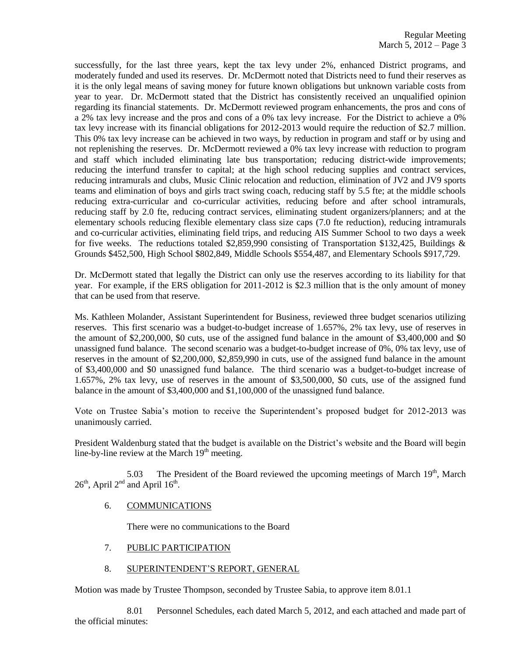successfully, for the last three years, kept the tax levy under 2%, enhanced District programs, and moderately funded and used its reserves. Dr. McDermott noted that Districts need to fund their reserves as it is the only legal means of saving money for future known obligations but unknown variable costs from year to year. Dr. McDermott stated that the District has consistently received an unqualified opinion regarding its financial statements. Dr. McDermott reviewed program enhancements, the pros and cons of a 2% tax levy increase and the pros and cons of a 0% tax levy increase. For the District to achieve a 0% tax levy increase with its financial obligations for 2012-2013 would require the reduction of \$2.7 million. This 0% tax levy increase can be achieved in two ways, by reduction in program and staff or by using and not replenishing the reserves. Dr. McDermott reviewed a 0% tax levy increase with reduction to program and staff which included eliminating late bus transportation; reducing district-wide improvements; reducing the interfund transfer to capital; at the high school reducing supplies and contract services, reducing intramurals and clubs, Music Clinic relocation and reduction, elimination of JV2 and JV9 sports teams and elimination of boys and girls tract swing coach, reducing staff by 5.5 fte; at the middle schools reducing extra-curricular and co-curricular activities, reducing before and after school intramurals, reducing staff by 2.0 fte, reducing contract services, eliminating student organizers/planners; and at the elementary schools reducing flexible elementary class size caps (7.0 fte reduction), reducing intramurals and co-curricular activities, eliminating field trips, and reducing AIS Summer School to two days a week for five weeks. The reductions totaled \$2,859,990 consisting of Transportation \$132,425, Buildings & Grounds \$452,500, High School \$802,849, Middle Schools \$554,487, and Elementary Schools \$917,729.

Dr. McDermott stated that legally the District can only use the reserves according to its liability for that year. For example, if the ERS obligation for 2011-2012 is \$2.3 million that is the only amount of money that can be used from that reserve.

Ms. Kathleen Molander, Assistant Superintendent for Business, reviewed three budget scenarios utilizing reserves. This first scenario was a budget-to-budget increase of 1.657%, 2% tax levy, use of reserves in the amount of \$2,200,000, \$0 cuts, use of the assigned fund balance in the amount of \$3,400,000 and \$0 unassigned fund balance. The second scenario was a budget-to-budget increase of 0%, 0% tax levy, use of reserves in the amount of \$2,200,000, \$2,859,990 in cuts, use of the assigned fund balance in the amount of \$3,400,000 and \$0 unassigned fund balance. The third scenario was a budget-to-budget increase of 1.657%, 2% tax levy, use of reserves in the amount of \$3,500,000, \$0 cuts, use of the assigned fund balance in the amount of \$3,400,000 and \$1,100,000 of the unassigned fund balance.

Vote on Trustee Sabia's motion to receive the Superintendent's proposed budget for 2012-2013 was unanimously carried.

President Waldenburg stated that the budget is available on the District's website and the Board will begin line-by-line review at the March  $19<sup>th</sup>$  meeting.

5.03 The President of the Board reviewed the upcoming meetings of March  $19<sup>th</sup>$ , March  $26<sup>th</sup>$ , April  $2<sup>nd</sup>$  and April  $16<sup>th</sup>$ .

## 6. COMMUNICATIONS

There were no communications to the Board

- 7. PUBLIC PARTICIPATION
- 8. SUPERINTENDENT'S REPORT, GENERAL

Motion was made by Trustee Thompson, seconded by Trustee Sabia, to approve item 8.01.1

8.01 Personnel Schedules, each dated March 5, 2012, and each attached and made part of the official minutes: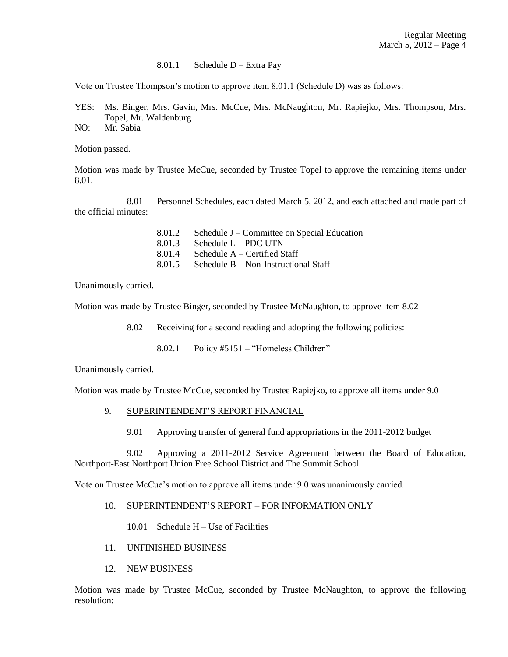#### 8.01.1 Schedule D – Extra Pay

Vote on Trustee Thompson's motion to approve item 8.01.1 (Schedule D) was as follows:

- YES: Ms. Binger, Mrs. Gavin, Mrs. McCue, Mrs. McNaughton, Mr. Rapiejko, Mrs. Thompson, Mrs. Topel, Mr. Waldenburg
- NO: Mr. Sabia

Motion passed.

Motion was made by Trustee McCue, seconded by Trustee Topel to approve the remaining items under 8.01.

8.01 Personnel Schedules, each dated March 5, 2012, and each attached and made part of the official minutes:

| 8.01.2 | Schedule J – Committee on Special Education |
|--------|---------------------------------------------|
| 8.01.3 | Schedule $L - PDC$ UTN                      |
| 8.01.4 | Schedule $A -$ Certified Staff              |
| 8.01.5 | Schedule $B - Non-Instructional Staff$      |

Unanimously carried.

Motion was made by Trustee Binger, seconded by Trustee McNaughton, to approve item 8.02

8.02 Receiving for a second reading and adopting the following policies:

8.02.1 Policy #5151 – "Homeless Children"

Unanimously carried.

Motion was made by Trustee McCue, seconded by Trustee Rapiejko, to approve all items under 9.0

### 9. SUPERINTENDENT'S REPORT FINANCIAL

9.01 Approving transfer of general fund appropriations in the 2011-2012 budget

9.02 Approving a 2011-2012 Service Agreement between the Board of Education, Northport-East Northport Union Free School District and The Summit School

Vote on Trustee McCue's motion to approve all items under 9.0 was unanimously carried.

### 10. SUPERINTENDENT'S REPORT – FOR INFORMATION ONLY

10.01 Schedule H – Use of Facilities

- 11. UNFINISHED BUSINESS
- 12. NEW BUSINESS

Motion was made by Trustee McCue, seconded by Trustee McNaughton, to approve the following resolution: